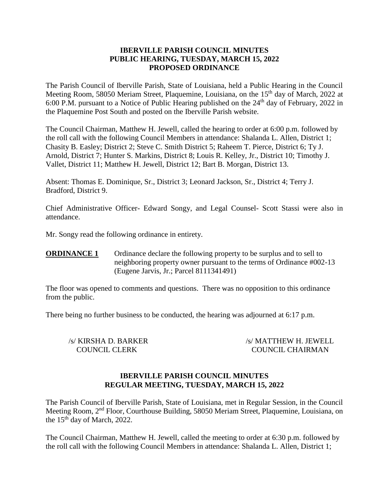### **IBERVILLE PARISH COUNCIL MINUTES PUBLIC HEARING, TUESDAY, MARCH 15, 2022 PROPOSED ORDINANCE**

The Parish Council of Iberville Parish, State of Louisiana, held a Public Hearing in the Council Meeting Room, 58050 Meriam Street, Plaquemine, Louisiana, on the 15<sup>th</sup> day of March, 2022 at 6:00 P.M. pursuant to a Notice of Public Hearing published on the  $24<sup>th</sup>$  day of February, 2022 in the Plaquemine Post South and posted on the Iberville Parish website.

The Council Chairman, Matthew H. Jewell, called the hearing to order at 6:00 p.m. followed by the roll call with the following Council Members in attendance: Shalanda L. Allen, District 1; Chasity B. Easley; District 2; Steve C. Smith District 5; Raheem T. Pierce, District 6; Ty J. Arnold, District 7; Hunter S. Markins, District 8; Louis R. Kelley, Jr., District 10; Timothy J. Vallet, District 11; Matthew H. Jewell, District 12; Bart B. Morgan, District 13.

Absent: Thomas E. Dominique, Sr., District 3; Leonard Jackson, Sr., District 4; Terry J. Bradford, District 9.

Chief Administrative Officer- Edward Songy, and Legal Counsel- Scott Stassi were also in attendance.

Mr. Songy read the following ordinance in entirety.

**ORDINANCE 1** Ordinance declare the following property to be surplus and to sell to neighboring property owner pursuant to the terms of Ordinance #002-13 (Eugene Jarvis, Jr.; Parcel 8111341491)

The floor was opened to comments and questions. There was no opposition to this ordinance from the public.

There being no further business to be conducted, the hearing was adjourned at 6:17 p.m.

/s/ KIRSHA D. BARKER /s/ MATTHEW H. JEWELL COUNCIL CLERK COUNCIL CHAIRMAN

### **IBERVILLE PARISH COUNCIL MINUTES REGULAR MEETING, TUESDAY, MARCH 15, 2022**

The Parish Council of Iberville Parish, State of Louisiana, met in Regular Session, in the Council Meeting Room, 2nd Floor, Courthouse Building, 58050 Meriam Street, Plaquemine, Louisiana, on the  $15<sup>th</sup>$  day of March, 2022.

The Council Chairman, Matthew H. Jewell, called the meeting to order at 6:30 p.m. followed by the roll call with the following Council Members in attendance: Shalanda L. Allen, District 1;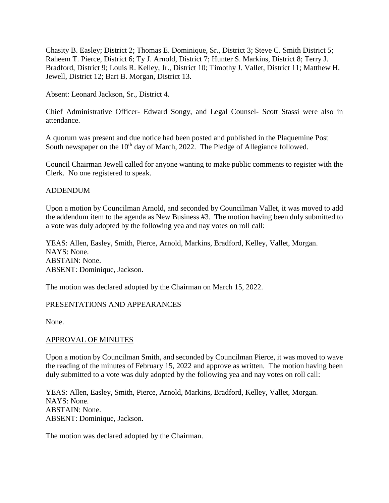Chasity B. Easley; District 2; Thomas E. Dominique, Sr., District 3; Steve C. Smith District 5; Raheem T. Pierce, District 6; Ty J. Arnold, District 7; Hunter S. Markins, District 8; Terry J. Bradford, District 9; Louis R. Kelley, Jr., District 10; Timothy J. Vallet, District 11; Matthew H. Jewell, District 12; Bart B. Morgan, District 13.

Absent: Leonard Jackson, Sr., District 4.

Chief Administrative Officer- Edward Songy, and Legal Counsel- Scott Stassi were also in attendance.

A quorum was present and due notice had been posted and published in the Plaquemine Post South newspaper on the  $10<sup>th</sup>$  day of March, 2022. The Pledge of Allegiance followed.

Council Chairman Jewell called for anyone wanting to make public comments to register with the Clerk. No one registered to speak.

### ADDENDUM

Upon a motion by Councilman Arnold, and seconded by Councilman Vallet, it was moved to add the addendum item to the agenda as New Business #3. The motion having been duly submitted to a vote was duly adopted by the following yea and nay votes on roll call:

YEAS: Allen, Easley, Smith, Pierce, Arnold, Markins, Bradford, Kelley, Vallet, Morgan. NAYS: None. ABSTAIN: None. ABSENT: Dominique, Jackson.

The motion was declared adopted by the Chairman on March 15, 2022.

### PRESENTATIONS AND APPEARANCES

None.

### APPROVAL OF MINUTES

Upon a motion by Councilman Smith, and seconded by Councilman Pierce, it was moved to wave the reading of the minutes of February 15, 2022 and approve as written. The motion having been duly submitted to a vote was duly adopted by the following yea and nay votes on roll call:

YEAS: Allen, Easley, Smith, Pierce, Arnold, Markins, Bradford, Kelley, Vallet, Morgan. NAYS: None. ABSTAIN: None. ABSENT: Dominique, Jackson.

The motion was declared adopted by the Chairman.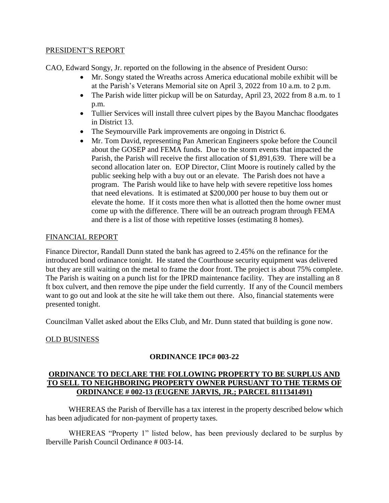### PRESIDENT'S REPORT

CAO, Edward Songy, Jr. reported on the following in the absence of President Ourso:

- Mr. Songy stated the Wreaths across America educational mobile exhibit will be at the Parish's Veterans Memorial site on April 3, 2022 from 10 a.m. to 2 p.m.
- The Parish wide litter pickup will be on Saturday, April 23, 2022 from 8 a.m. to 1 p.m.
- Tullier Services will install three culvert pipes by the Bayou Manchac floodgates in District 13.
- The Seymourville Park improvements are ongoing in District 6.
- Mr. Tom David, representing Pan American Engineers spoke before the Council about the GOSEP and FEMA funds. Due to the storm events that impacted the Parish, the Parish will receive the first allocation of \$1,891,639. There will be a second allocation later on. EOP Director, Clint Moore is routinely called by the public seeking help with a buy out or an elevate. The Parish does not have a program. The Parish would like to have help with severe repetitive loss homes that need elevations. It is estimated at \$200,000 per house to buy them out or elevate the home. If it costs more then what is allotted then the home owner must come up with the difference. There will be an outreach program through FEMA and there is a list of those with repetitive losses (estimating 8 homes).

# FINANCIAL REPORT

Finance Director, Randall Dunn stated the bank has agreed to 2.45% on the refinance for the introduced bond ordinance tonight. He stated the Courthouse security equipment was delivered but they are still waiting on the metal to frame the door front. The project is about 75% complete. The Parish is waiting on a punch list for the IPRD maintenance facility. They are installing an 8 ft box culvert, and then remove the pipe under the field currently. If any of the Council members want to go out and look at the site he will take them out there. Also, financial statements were presented tonight.

Councilman Vallet asked about the Elks Club, and Mr. Dunn stated that building is gone now.

# OLD BUSINESS

# **ORDINANCE IPC# 003-22**

### **ORDINANCE TO DECLARE THE FOLLOWING PROPERTY TO BE SURPLUS AND TO SELL TO NEIGHBORING PROPERTY OWNER PURSUANT TO THE TERMS OF ORDINANCE # 002-13 (EUGENE JARVIS, JR.; PARCEL 8111341491)**

WHEREAS the Parish of Iberville has a tax interest in the property described below which has been adjudicated for non-payment of property taxes.

WHEREAS "Property 1" listed below, has been previously declared to be surplus by Iberville Parish Council Ordinance # 003-14.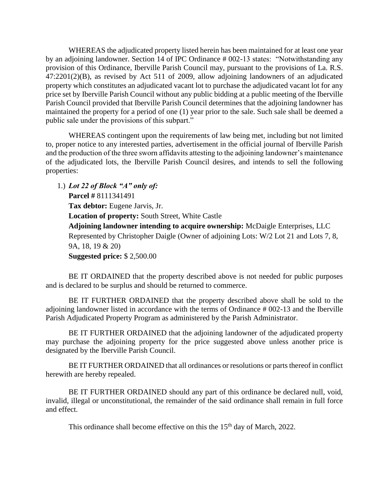WHEREAS the adjudicated property listed herein has been maintained for at least one year by an adjoining landowner. Section 14 of IPC Ordinance # 002-13 states: "Notwithstanding any provision of this Ordinance, Iberville Parish Council may, pursuant to the provisions of La. R.S. 47:2201(2)(B), as revised by Act 511 of 2009, allow adjoining landowners of an adjudicated property which constitutes an adjudicated vacant lot to purchase the adjudicated vacant lot for any price set by Iberville Parish Council without any public bidding at a public meeting of the Iberville Parish Council provided that Iberville Parish Council determines that the adjoining landowner has maintained the property for a period of one (1) year prior to the sale. Such sale shall be deemed a public sale under the provisions of this subpart."

WHEREAS contingent upon the requirements of law being met, including but not limited to, proper notice to any interested parties, advertisement in the official journal of Iberville Parish and the production of the three sworn affidavits attesting to the adjoining landowner's maintenance of the adjudicated lots, the Iberville Parish Council desires, and intends to sell the following properties:

1.) *Lot 22 of Block "A" only of:* **Parcel #** 8111341491 **Tax debtor:** Eugene Jarvis, Jr. **Location of property:** South Street, White Castle **Adjoining landowner intending to acquire ownership:** McDaigle Enterprises, LLC Represented by Christopher Daigle (Owner of adjoining Lots: W/2 Lot 21 and Lots 7, 8, 9A, 18, 19 & 20) **Suggested price:** \$ 2,500.00

BE IT ORDAINED that the property described above is not needed for public purposes and is declared to be surplus and should be returned to commerce.

BE IT FURTHER ORDAINED that the property described above shall be sold to the adjoining landowner listed in accordance with the terms of Ordinance # 002-13 and the Iberville Parish Adjudicated Property Program as administered by the Parish Administrator.

BE IT FURTHER ORDAINED that the adjoining landowner of the adjudicated property may purchase the adjoining property for the price suggested above unless another price is designated by the Iberville Parish Council.

BE IT FURTHER ORDAINED that all ordinances or resolutions or parts thereof in conflict herewith are hereby repealed.

BE IT FURTHER ORDAINED should any part of this ordinance be declared null, void, invalid, illegal or unconstitutional, the remainder of the said ordinance shall remain in full force and effect.

This ordinance shall become effective on this the  $15<sup>th</sup>$  day of March, 2022.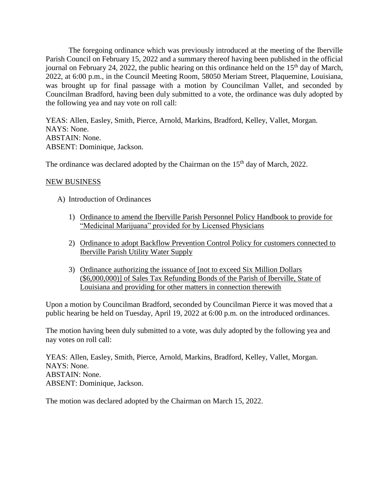The foregoing ordinance which was previously introduced at the meeting of the Iberville Parish Council on February 15, 2022 and a summary thereof having been published in the official journal on February 24, 2022, the public hearing on this ordinance held on the  $15<sup>th</sup>$  day of March, 2022, at 6:00 p.m., in the Council Meeting Room, 58050 Meriam Street, Plaquemine, Louisiana, was brought up for final passage with a motion by Councilman Vallet, and seconded by Councilman Bradford, having been duly submitted to a vote, the ordinance was duly adopted by the following yea and nay vote on roll call:

YEAS: Allen, Easley, Smith, Pierce, Arnold, Markins, Bradford, Kelley, Vallet, Morgan. NAYS: None. ABSTAIN: None. ABSENT: Dominique, Jackson.

The ordinance was declared adopted by the Chairman on the 15<sup>th</sup> day of March, 2022.

### NEW BUSINESS

- A) Introduction of Ordinances
	- 1) Ordinance to amend the Iberville Parish Personnel Policy Handbook to provide for "Medicinal Marijuana" provided for by Licensed Physicians
	- 2) Ordinance to adopt Backflow Prevention Control Policy for customers connected to Iberville Parish Utility Water Supply
	- 3) Ordinance authorizing the issuance of [not to exceed Six Million Dollars (\$6,000,000)] of Sales Tax Refunding Bonds of the Parish of Iberville, State of Louisiana and providing for other matters in connection therewith

Upon a motion by Councilman Bradford, seconded by Councilman Pierce it was moved that a public hearing be held on Tuesday, April 19, 2022 at 6:00 p.m. on the introduced ordinances.

The motion having been duly submitted to a vote, was duly adopted by the following yea and nay votes on roll call:

YEAS: Allen, Easley, Smith, Pierce, Arnold, Markins, Bradford, Kelley, Vallet, Morgan. NAYS: None. ABSTAIN: None. ABSENT: Dominique, Jackson.

The motion was declared adopted by the Chairman on March 15, 2022.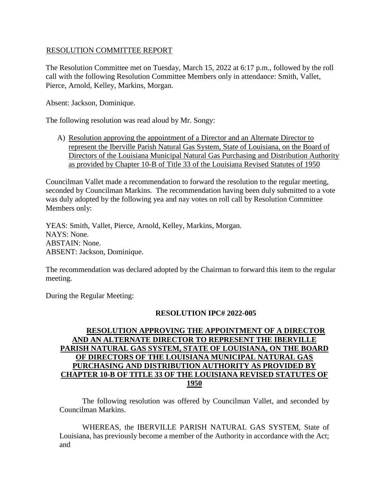### RESOLUTION COMMITTEE REPORT

The Resolution Committee met on Tuesday, March 15, 2022 at 6:17 p.m., followed by the roll call with the following Resolution Committee Members only in attendance: Smith, Vallet, Pierce, Arnold, Kelley, Markins, Morgan.

Absent: Jackson, Dominique.

The following resolution was read aloud by Mr. Songy:

A) Resolution approving the appointment of a Director and an Alternate Director to represent the Iberville Parish Natural Gas System, State of Louisiana, on the Board of Directors of the Louisiana Municipal Natural Gas Purchasing and Distribution Authority as provided by Chapter 10-B of Title 33 of the Louisiana Revised Statutes of 1950

Councilman Vallet made a recommendation to forward the resolution to the regular meeting, seconded by Councilman Markins. The recommendation having been duly submitted to a vote was duly adopted by the following yea and nay votes on roll call by Resolution Committee Members only:

YEAS: Smith, Vallet, Pierce, Arnold, Kelley, Markins, Morgan. NAYS: None. ABSTAIN: None. ABSENT: Jackson, Dominique.

The recommendation was declared adopted by the Chairman to forward this item to the regular meeting.

During the Regular Meeting:

### **RESOLUTION IPC# 2022-005**

# **RESOLUTION APPROVING THE APPOINTMENT OF A DIRECTOR AND AN ALTERNATE DIRECTOR TO REPRESENT THE IBERVILLE PARISH NATURAL GAS SYSTEM, STATE OF LOUISIANA, ON THE BOARD OF DIRECTORS OF THE LOUISIANA MUNICIPAL NATURAL GAS PURCHASING AND DISTRIBUTION AUTHORITY AS PROVIDED BY CHAPTER 10-B OF TITLE 33 OF THE LOUISIANA REVISED STATUTES OF 1950**

The following resolution was offered by Councilman Vallet, and seconded by Councilman Markins.

WHEREAS, the IBERVILLE PARISH NATURAL GAS SYSTEM, State of Louisiana, has previously become a member of the Authority in accordance with the Act; and